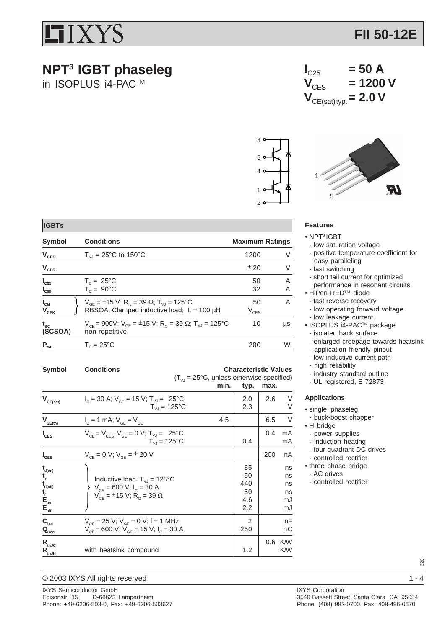

## **NPT3 IGBT phaseleg**

**Symbol Conditions Conditions Conditions Conditions Conditions Conditions Conditions Conditions Conditions Conditions Conditions Conditions Conditions Conditions Conditions Conditions Conditions Conditions Conditions Condi**  $V_{CES}$   $T_{VJ} = 25^{\circ}C$  to 150°C 1200 V  ${\sf V}_{\sf GES}$   $\pm$  20  ${\sf V}$ 

**I<sub>C25</sub>**  $T_c = 25^{\circ}C$  50 A<br> **I<sub>C90</sub>**  $T_c = 90^{\circ}C$  32 A

 $\mathbf{U}_{\text{CM}}$   $\left\{\n\begin{array}{l}\nV_{\text{GE}} = \pm 15 \text{ V}; R_{\text{G}} = 39 \Omega; T_{\text{VJ}} = 125^{\circ}\text{C} \\
RBSOA, Clamped inductive load; L = 100 \mu\text{H}\n\end{array}\n\right.$   $\left\{\n\begin{array}{l}\nV_{\text{CES}}\n\end{array}\n\right.$ RBSOA, Clamped inductive load;  $L = 100 \mu H$ 

 $t_{\rm sc}$  V<sub>CE</sub> = 900V; V<sub>GE</sub> = ±15 V; R<sub>G</sub> = 39 Ω; T<sub>VJ</sub> = 125°C 10 µs<br>(SCSOA) non-repetitive

 $P_{\text{tot}}$   $T_c = 25^{\circ}C$  200 W

Symbol Conditions **Conditions** Characteristic Values

 $T_{VJ} = 125$ °C

 $T_{VJ} = 125$ °C

d<sub>(on)</sub> and a set of the set of the set of the set of the set of the set of the set of the set of the set of the set of the set of the set of the set of the set of the set of the set of the set of the set of the set of the **t**  $\begin{array}{|c|c|c|c|}\n\hline\n\text{Inductive load, } T_{\text{VJ}} = 125^{\circ}\text{C} & \text{if } 50 \text{ is } 50 \text{ is } 50 \text{ is } 50 \text{ is } 50 \text{ is } 50 \text{ is } 50 \text{ is } 50 \text{ is } 50 \text{ is } 50 \text{ is } 50 \text{ is } 50 \text{ is } 50 \text{ is } 50 \text{ is } 50 \text{ is } 50 \text{ is } 50 \text{ is } 50 \text{ is } 50 \text{ is } 50 \text{ is }$ 

d(off)  $V_{CE} = 600 V; I_C = 30 A$  ns

**<sup>f</sup>** 50 ns **E**<sub>on</sub>  $V_{GE} = \pm 15 \text{ V}; R_{G} = 39 \Omega$  a.6 mJ **Eoff** 2.2 mJ  $\textsf{C}_{\textsf{ies}}$  V<sub>CE</sub> = 25 V; V<sub>GE</sub> = 0 V; f = 1 MHz 2 | RF **QGon** VCE = 600 V; VGE = 15 V; IC = 30 A 250 nC **R<sub>thJC</sub>** 0.6 KW R<sub>thJc</sub> with heatsink compound 1.2 U.6 K/W<br>R<sub>thJH</sub> with heatsink compound 1.2 K/W

 $I_c = 30 \text{ A}; V_{GE} = 15 \text{ V}; T_{VJ} = 25^{\circ}\text{C}$  2.0 2.6 V<br> $T_{VJ} = 125^{\circ}\text{C}$  2.3 2.6 V

 $I_c = 1$  mA;  $V_{CF} = V_{CF}$  4.5 4.5 6.5 V

 $V_{CE} = V_{CES}$ ;  $V_{GE} = 0$  V;  $T_{VJ} = 25^{\circ}$ C 0.4 mA

 $V_{CE} = 0 \text{ V}; V_{GE} = \pm 20 \text{ V}$  200 nA

 $(T_{\text{VJ}} = 25^{\circ}C$ , unless otherwise specified)<br>min. typ. max.

max.

in ISOPLUS i4-PAC™

 **IGBTs**

 $V_{CE(sat)}$ 

 $V_{\underline{G\subseteq (th)}}$ 

**I**

**I**

 $\mathbf{t}_{\text{d(on)}}$ 

**t**

 $\mathbf{t}_{\text{f}}^{\text{tot}}$ 

 $I_{C90}$   $T_C = 90^{\circ}C$ 

**(SCSOA)** non-repetitive







### **Features**

- NPT3 IGBT
- low saturation voltage
- positive temperature coefficient for easy paralleling
- fast switching
- short tail current for optimized
- performance in resonant circuits
- HiPerFREDTM diode
- fast reverse recovery
- low operating forward voltage - low leakage current
- ISOPLUS i4-PACTM package
- isolated back surface
- enlarged creepage towards heatsink
- application friendly pinout
- low inductive current path
- high reliability
- industry standard outline
- UL registered, E 72873

#### **Applications**

- single phaseleg
- buck-boost chopper
- H bridge
- power supplies
- induction heating
- four quadrant DC drives
- controlled rectifier
- three phase bridge
- AC drives
- controlled rectifier

es<br>
© 2003 IXYS All rights reserved<br>
1 - 4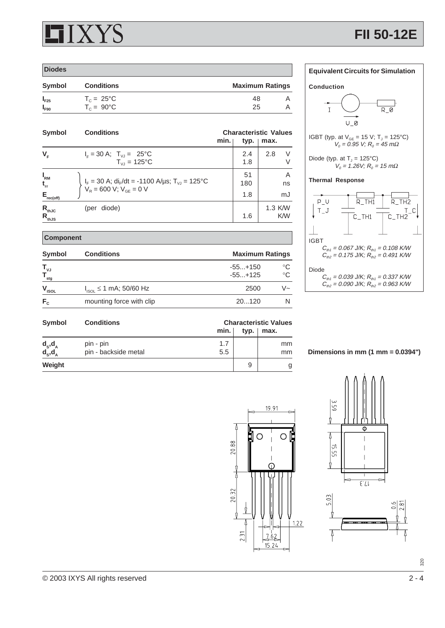# X Y S

 **Component**

| <b>Diodes</b> |                                            |                        |
|---------------|--------------------------------------------|------------------------|
| <b>Symbol</b> | <b>Conditions</b>                          | <b>Maximum Ratings</b> |
| $I_{F25}$     |                                            | 48                     |
| $I_{F90}$     | $T_c = 25^{\circ}C$<br>$T_c = 90^{\circ}C$ | 25                     |

| <b>Symbol</b>                                     | <b>Conditions</b>                                                                                                        | min. | typ.             | <b>Characteristic Values</b><br>max. |
|---------------------------------------------------|--------------------------------------------------------------------------------------------------------------------------|------|------------------|--------------------------------------|
| $V_F$                                             | $I_F = 30 \text{ A}; T_{VJ} = 25^{\circ} \text{C}$<br>$T_{V1} = 125^{\circ}C$                                            |      | 2.4<br>1.8       | 2.8<br>$\vee$<br>V                   |
| $I_{\rm RM}$<br>$t_{rr}$<br>$E_{\text{rec(off)}}$ | $I_F = 30$ A; di <sub>F</sub> /dt = -1100 A/µs; T <sub>VJ</sub> = 125°C<br>V <sub>R</sub> = 600 V; V <sub>GE</sub> = 0 V |      | 51<br>180<br>1.8 | Α<br>ns<br>mJ                        |
| $R_{thJC}$<br>$R_{thJS}$                          | (per diode)                                                                                                              |      | 1.6              | 1.3 K/W<br><b>K/W</b>                |

## **Equivalent Circuits for Simulation Conduction**  $\mathbf I$  $R_0$  $U_0$ IGBT (typ. at  $V_{GE} = 15 \text{ V}; T_J = 125^{\circ}\text{C}$ )  $V_0 = 0.95$  V;  $R_0 = 45$  mΩ Diode (typ. at  $T_J = 125^{\circ}C$ )  $V_0 = 1.26V$ ;  $R_0 = 15$  mΩ **Thermal Response**  $P_{U}$  $R$  TH<sub>1</sub>  $R$  TH<sub>2</sub>  $T_$ J  $T_{\perp}C$  $C$ \_TH1  $C$ \_TH2 IGBT  $C_{th1} = 0.067 \text{ J/K}$ ;  $R_{th1} = 0.108 \text{ K/W}$

| <b>Symbol</b>                     | <b>Conditions</b>             |                        | <b>Maximum Ratings</b>     |  |  |
|-----------------------------------|-------------------------------|------------------------|----------------------------|--|--|
| " vJ<br>$\mathsf{T}_{_{\sf stg}}$ |                               | $-55+150$<br>$-55+125$ | $^{\circ}C$<br>$^{\circ}C$ |  |  |
| $V_{ISOL}$                        | $I_{ISOL} \le 1$ mA; 50/60 Hz | 2500                   | ∨~                         |  |  |
| $F_c$                             | mounting force with clip      | 20120                  |                            |  |  |

| Diode                                                         |
|---------------------------------------------------------------|
| $C_{m1} = 0.039 \text{ J/K}$ ; $R_{m1} = 0.337 \text{ K/W}$   |
| $C_{th2} = 0.090 \text{ J/K}$ ; $R_{th2} = 0.963 \text{ K/W}$ |

 $C_{th2} = 0.175 \text{ J/K}$ ;  $R_{th2} = 0.491 \text{ K/W}$ 

| Symbol                         | <b>Conditions</b>                 | <b>Characteristic Values</b> |      |                     |
|--------------------------------|-----------------------------------|------------------------------|------|---------------------|
|                                |                                   | min.                         | typ. | max.                |
| $d_s$ , $d_A$<br>$d_s$ , $d_A$ | pin - pin<br>pin - backside metal | 1.7<br>5.5                   |      | <sub>mm</sub><br>mm |
| Weight                         |                                   |                              | 9    |                     |

**Dimensions in mm (1 mm = 0.0394")**





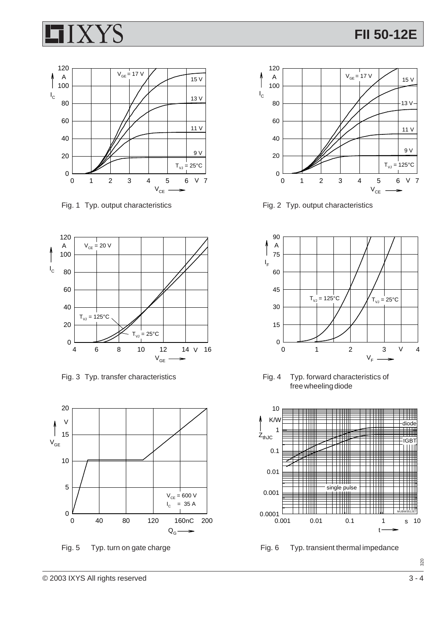



Fig. 1 Typ. output characteristics Fig. 2 Typ. output characteristics









Fig. 3 Typ. transfer characteristics Fig. 4 Typ. forward characteristics of free wheeling diode



Fig. 5 Typ. turn on gate charge Fig. 6 Typ. transient thermal impedance